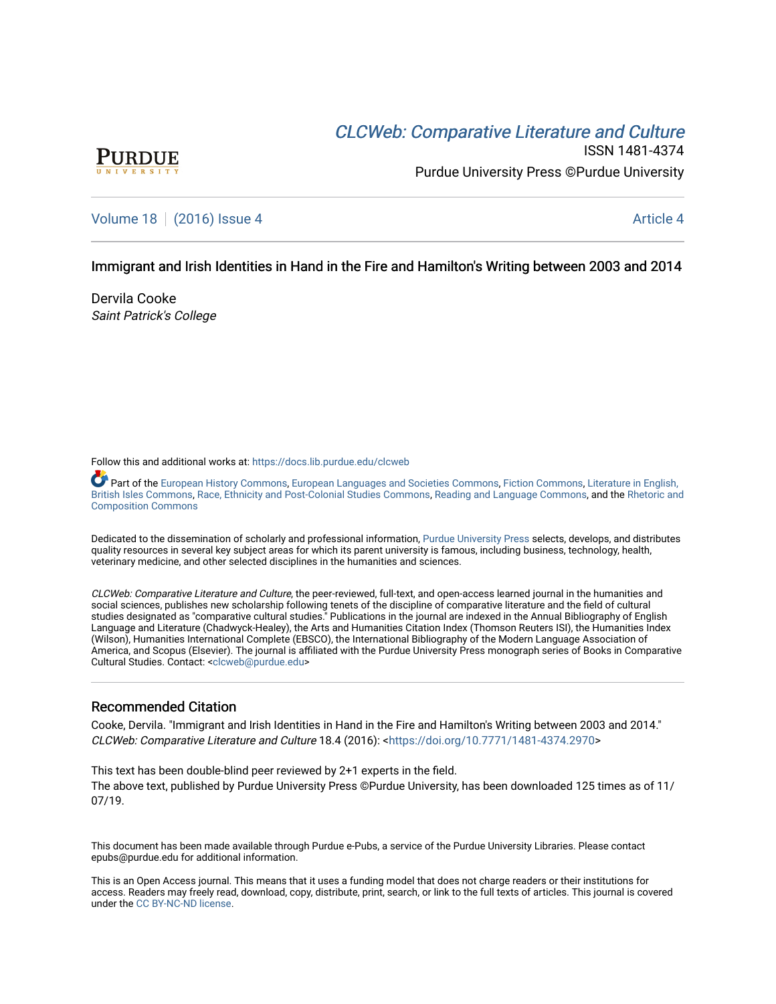# CLCW[eb: Comparative Liter](https://docs.lib.purdue.edu/clcweb)ature and Culture



ISSN 1481-4374 Purdue University Press ©Purdue University

# [Volume 18](https://docs.lib.purdue.edu/clcweb/vol18) | [\(2016\) Issue 4](https://docs.lib.purdue.edu/clcweb/vol18/iss4) Article 4

### Immigrant and Irish Identities in Hand in the Fire and Hamilton's Writing between 2003 and 2014

Dervila Cooke Saint Patrick's College

Follow this and additional works at: [https://docs.lib.purdue.edu/clcweb](https://docs.lib.purdue.edu/clcweb?utm_source=docs.lib.purdue.edu%2Fclcweb%2Fvol18%2Fiss4%2F4&utm_medium=PDF&utm_campaign=PDFCoverPages)

Part of the [European History Commons,](http://network.bepress.com/hgg/discipline/492?utm_source=docs.lib.purdue.edu%2Fclcweb%2Fvol18%2Fiss4%2F4&utm_medium=PDF&utm_campaign=PDFCoverPages) [European Languages and Societies Commons,](http://network.bepress.com/hgg/discipline/482?utm_source=docs.lib.purdue.edu%2Fclcweb%2Fvol18%2Fiss4%2F4&utm_medium=PDF&utm_campaign=PDFCoverPages) [Fiction Commons](http://network.bepress.com/hgg/discipline/1151?utm_source=docs.lib.purdue.edu%2Fclcweb%2Fvol18%2Fiss4%2F4&utm_medium=PDF&utm_campaign=PDFCoverPages), [Literature in English,](http://network.bepress.com/hgg/discipline/456?utm_source=docs.lib.purdue.edu%2Fclcweb%2Fvol18%2Fiss4%2F4&utm_medium=PDF&utm_campaign=PDFCoverPages) [British Isles Commons](http://network.bepress.com/hgg/discipline/456?utm_source=docs.lib.purdue.edu%2Fclcweb%2Fvol18%2Fiss4%2F4&utm_medium=PDF&utm_campaign=PDFCoverPages), [Race, Ethnicity and Post-Colonial Studies Commons,](http://network.bepress.com/hgg/discipline/566?utm_source=docs.lib.purdue.edu%2Fclcweb%2Fvol18%2Fiss4%2F4&utm_medium=PDF&utm_campaign=PDFCoverPages) [Reading and Language Commons](http://network.bepress.com/hgg/discipline/1037?utm_source=docs.lib.purdue.edu%2Fclcweb%2Fvol18%2Fiss4%2F4&utm_medium=PDF&utm_campaign=PDFCoverPages), and the [Rhetoric and](http://network.bepress.com/hgg/discipline/573?utm_source=docs.lib.purdue.edu%2Fclcweb%2Fvol18%2Fiss4%2F4&utm_medium=PDF&utm_campaign=PDFCoverPages)  [Composition Commons](http://network.bepress.com/hgg/discipline/573?utm_source=docs.lib.purdue.edu%2Fclcweb%2Fvol18%2Fiss4%2F4&utm_medium=PDF&utm_campaign=PDFCoverPages)

Dedicated to the dissemination of scholarly and professional information, [Purdue University Press](http://www.thepress.purdue.edu/) selects, develops, and distributes quality resources in several key subject areas for which its parent university is famous, including business, technology, health, veterinary medicine, and other selected disciplines in the humanities and sciences.

CLCWeb: Comparative Literature and Culture, the peer-reviewed, full-text, and open-access learned journal in the humanities and social sciences, publishes new scholarship following tenets of the discipline of comparative literature and the field of cultural studies designated as "comparative cultural studies." Publications in the journal are indexed in the Annual Bibliography of English Language and Literature (Chadwyck-Healey), the Arts and Humanities Citation Index (Thomson Reuters ISI), the Humanities Index (Wilson), Humanities International Complete (EBSCO), the International Bibliography of the Modern Language Association of America, and Scopus (Elsevier). The journal is affiliated with the Purdue University Press monograph series of Books in Comparative Cultural Studies. Contact: [<clcweb@purdue.edu](mailto:clcweb@purdue.edu)>

### Recommended Citation

Cooke, Dervila. "Immigrant and Irish Identities in Hand in the Fire and Hamilton's Writing between 2003 and 2014." CLCWeb: Comparative Literature and Culture 18.4 (2016): <[https://doi.org/10.7771/1481-4374.2970>](https://doi.org/10.7771/1481-4374.2970)

This text has been double-blind peer reviewed by 2+1 experts in the field. The above text, published by Purdue University Press ©Purdue University, has been downloaded 125 times as of 11/ 07/19.

This document has been made available through Purdue e-Pubs, a service of the Purdue University Libraries. Please contact epubs@purdue.edu for additional information.

This is an Open Access journal. This means that it uses a funding model that does not charge readers or their institutions for access. Readers may freely read, download, copy, distribute, print, search, or link to the full texts of articles. This journal is covered under the [CC BY-NC-ND license.](https://creativecommons.org/licenses/by-nc-nd/4.0/)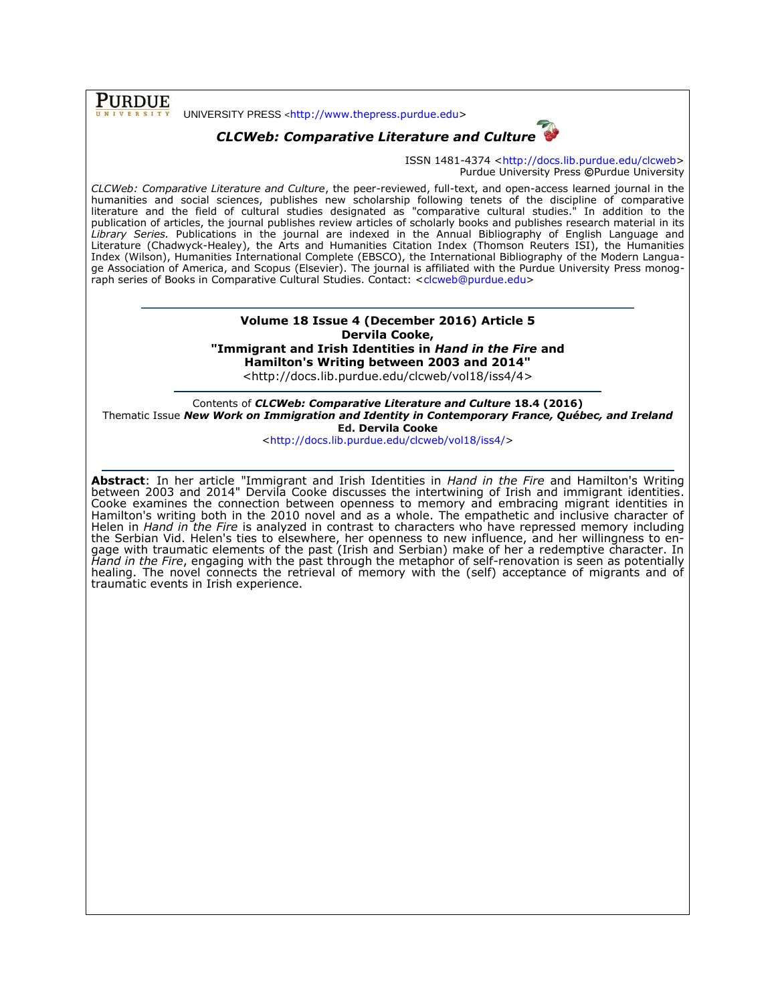**PURDUE** 

UNIVERSITY PRESS <[http://www.thepress.purdue.edu>](http://www.thepress.purdue.edu/)

# *CLCWeb: Comparative Literature and Culture*



ISSN 1481-4374 [<http://docs.lib.purdue.edu/clcweb>](http://docs.lib.purdue.edu/clcweb) Purdue University Press **©**Purdue University

*CLCWeb: Comparative Literature and Culture*, the peer-reviewed, full-text, and open-access learned journal in the humanities and social sciences, publishes new scholarship following tenets of the discipline of comparative literature and the field of cultural studies designated as "comparative cultural studies." In addition to the publication of articles, the journal publishes review articles of scholarly books and publishes research material in its *Library Series.* Publications in the journal are indexed in the Annual Bibliography of English Language and Literature (Chadwyck-Healey), the Arts and Humanities Citation Index (Thomson Reuters ISI), the Humanities Index (Wilson), Humanities International Complete (EBSCO), the International Bibliography of the Modern Language Association of America, and Scopus (Elsevier). The journal is affiliated with the Purdue University Press monog-raph series of Books in Comparative Cultural Studies. Contact: [<clcweb@purdue.edu>](mailto:clcweb@purdue.edu)

> **Volume 18 Issue 4 (December 2016) Article 5 Dervila Cooke, "Immigrant and Irish Identities in** *Hand in the Fire* **and Hamilton's Writing between 2003 and 2014"**

<http://docs.lib.purdue.edu/clcweb/vol18/iss4/4>

Contents of *CLCWeb: Comparative Literature and Culture* **18.4 (2016)** Thematic Issue *New Work on Immigration and Identity in Contemporary France, Québec, and Ireland* **Ed. Dervila Cooke**

[<http://docs.lib.purdue.edu/clcweb/vol18/iss4/>](http://docs.lib.purdue.edu/clcweb/vol18/iss4/)

**Abstract**: In her article "Immigrant and Irish Identities in *Hand in the Fire* and Hamilton's Writing between 2003 and 2014" Dervila Cooke discusses the intertwining of Irish and immigrant identities. Cooke examines the connection between openness to memory and embracing migrant identities in Hamilton's writing both in the 2010 novel and as a whole. The empathetic and inclusive character of Helen in *Hand in the Fire* is analyzed in contrast to characters who have repressed memory including the Serbian Vid. Helen's ties to elsewhere, her openness to new influence, and her willingness to engage with traumatic elements of the past (Irish and Serbian) make of her a redemptive character. In *Hand in the Fire*, engaging with the past through the metaphor of self-renovation is seen as potentially healing. The novel connects the retrieval of memory with the (self) acceptance of migrants and of traumatic events in Irish experience.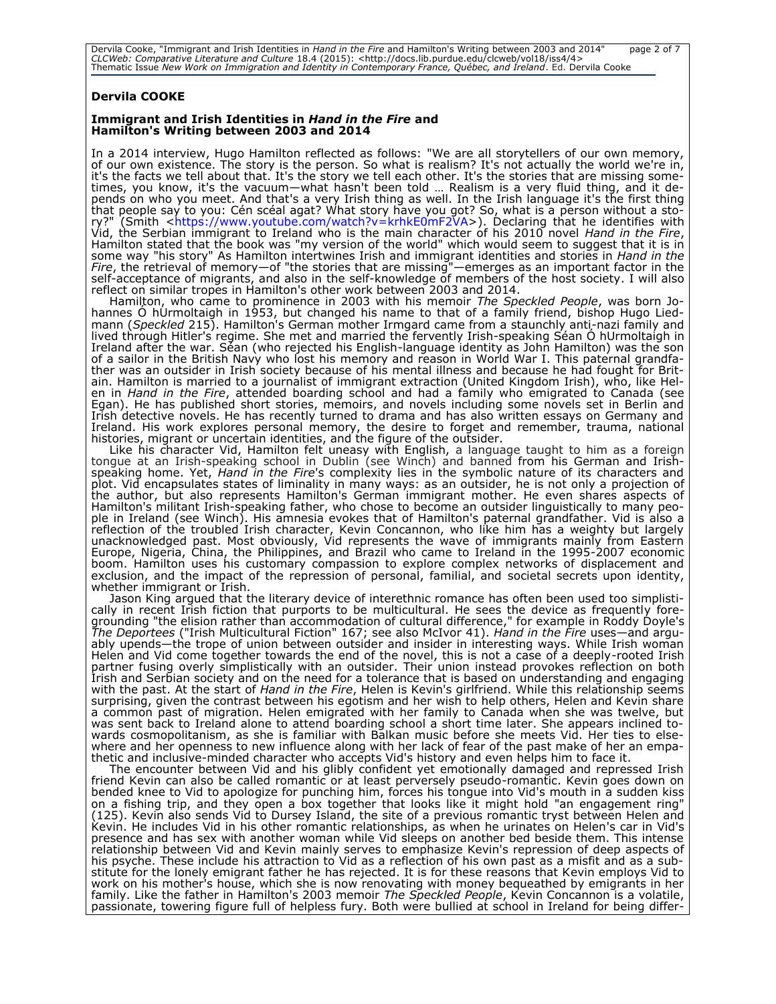Dervila Cooke, "Immigrant and Irish Identities in *Hand in the Fire* and Hamilton's Writing between 2003 and 2014" page 2 of 7<br>CLCWeb: Comparative Literature and Culture 18.4 (2015): <http://docs.lib.purdue.edu/clcweb/vol1

### **Dervila COOKE**

#### **Immigrant and Irish Identities in** *Hand in the Fire* **and Hamilton's Writing between 2003 and 2014**

In a 2014 interview, Hugo Hamilton reflected as follows: "We are all storytellers of our own memory, of our own existence. The story is the person. So what is realism? It's not actually the world we're in, it's the facts we tell about that. It's the story we tell each other. It's the stories that are missing sometimes, you know, it's the vacuum—what hasn't been told … Realism is a very fluid thing, and it depends on who you meet. And that's a very Irish thing as well. In the Irish language it's the first thing that people say to you: Cén scéal agat? What story have you got? So, what is a person without a story?" (Smith [<https://www.youtube.com/watch?v=krhkE0mF2VA>](https://www.youtube.com/watch?v=krhkE0mF2VA)). Declaring that he identifies with Vid, the Serbian immigrant to Ireland who is the main character of his 2010 novel *Hand in the Fire*, Hamilton stated that the book was "my version of the world" which would seem to suggest that it is in some way "his story" As Hamilton intertwines Irish and immigrant identities and stories in *Hand in the Fire*, the retrieval of memory—of "the stories that are missing"—emerges as an important factor in the self-acceptance of migrants, and also in the self-knowledge of members of the host society. I will also reflect on similar tropes in Hamilton's other work between 2003 and 2014.

Hamilton, who came to prominence in 2003 with his memoir *The Speckled People*, was born Jo- hannes Ó hUrmoltaigh in 1953, but changed his name to that of a family friend, bishop Hugo Liedmann (*Speckled* 215). Hamilton's German mother Irmgard came from a staunchly anti-nazi family and lived through Hitler's regime. She met and married the fervently Irish-speaking Séan Ó hUrmoltaigh in Ireland after the war. Séan (who rejected his English-language identity as John Hamilton) was the son of a sailor in the British Navy who lost his memory and reason in World War I. This paternal grandfather was an outsider in Irish society because of his mental illness and because he had fought for Britain. Hamilton is married to a journalist of immigrant extraction (United Kingdom Irish), who, like Helen in *Hand in the Fire*, attended boarding school and had a family who emigrated to Canada (see Egan). He has published short stories, memoirs, and novels including some novels set in Berlin and Irish detective novels. He has recently turned to drama and has also written essays on Germany and Ireland. His work explores personal memory, the desire to forget and remember, trauma, national histories, migrant or uncertain identities, and the figure of the outsider.

Like his character Vid, Hamilton felt uneasy with English, a language taught to him as a foreign tongue at an Irish-speaking school in Dublin (see Winch) and banned from his German and Irishspeaking home. Yet, *Hand in the Fire*'s complexity lies in the symbolic nature of its characters and plot. Vid encapsulates states of liminality in many ways: as an outsider, he is not only a projection of the author, but also represents Hamilton's German immigrant mother. He even shares aspects of Hamilton's militant Irish-speaking father, who chose to become an outsider linguistically to many people in Ireland (see Winch). His amnesia evokes that of Hamilton's paternal grandfather. Vid is also a reflection of the troubled Irish character, Kevin Concannon, who like him has a weighty but largely unacknowledged past. Most obviously, Vid represents the wave of immigrants mainly from Eastern Europe, Nigeria, China, the Philippines, and Brazil who came to Ireland in the 1995-2007 economic boom. Hamilton uses his customary compassion to explore complex networks of displacement and exclusion, and the impact of the repression of personal, familial, and societal secrets upon identity, whether immigrant or Irish.

Jason King argued that the literary device of interethnic romance has often been used too simplistically in recent Irish fiction that purports to be multicultural. He sees the device as frequently foregrounding "the elision rather than accommodation of cultural difference," for example in Roddy Doyle's *The Deportees* ("Irish Multicultural Fiction" 167; see also McIvor 41). *Hand in the Fire* uses—and arguably upends—the trope of union between outsider and insider in interesting ways. While Irish woman Helen and Vid come together towards the end of the novel, this is not a case of a deeply-rooted Irish partner fusing overly simplistically with an outsider. Their union instead provokes reflection on both Irish and Serbian society and on the need for a tolerance that is based on understanding and engaging with the past. At the start of *Hand in the Fire*, Helen is Kevin's girlfriend. While this relationship seems surprising, given the contrast between his egotism and her wish to help others, Helen and Kevin share a common past of migration. Helen emigrated with her family to Canada when she was twelve, but was sent back to Ireland alone to attend boarding school a short time later. She appears inclined towards cosmopolitanism, as she is familiar with Balkan music before she meets Vid. Her ties to elsewhere and her openness to new influence along with her lack of fear of the past make of her an empathetic and inclusive-minded character who accepts Vid's history and even helps him to face it.

The encounter between Vid and his glibly confident yet emotionally damaged and repressed Irish friend Kevin can also be called romantic or at least perversely pseudo-romantic. Kevin goes down on bended knee to Vid to apologize for punching him, forces his tongue into Vid's mouth in a sudden kiss on a fishing trip, and they open a box together that looks like it might hold "an engagement ring" (125). Kevin also sends Vid to Dursey Island, the site of a previous romantic tryst between Helen and Kevin. He includes Vid in his other romantic relationships, as when he urinates on Helen's car in Vid's presence and has sex with another woman while Vid sleeps on another bed beside them. This intense relationship between Vid and Kevin mainly serves to emphasize Kevin's repression of deep aspects of his psyche. These include his attraction to Vid as a reflection of his own past as a misfit and as a substitute for the lonely emigrant father he has rejected. It is for these reasons that Kevin employs Vid to work on his mother's house, which she is now renovating with money bequeathed by emigrants in her family. Like the father in Hamilton's 2003 memoir *The Speckled People*, Kevin Concannon is a volatile, passionate, towering figure full of helpless fury. Both were bullied at school in Ireland for being differ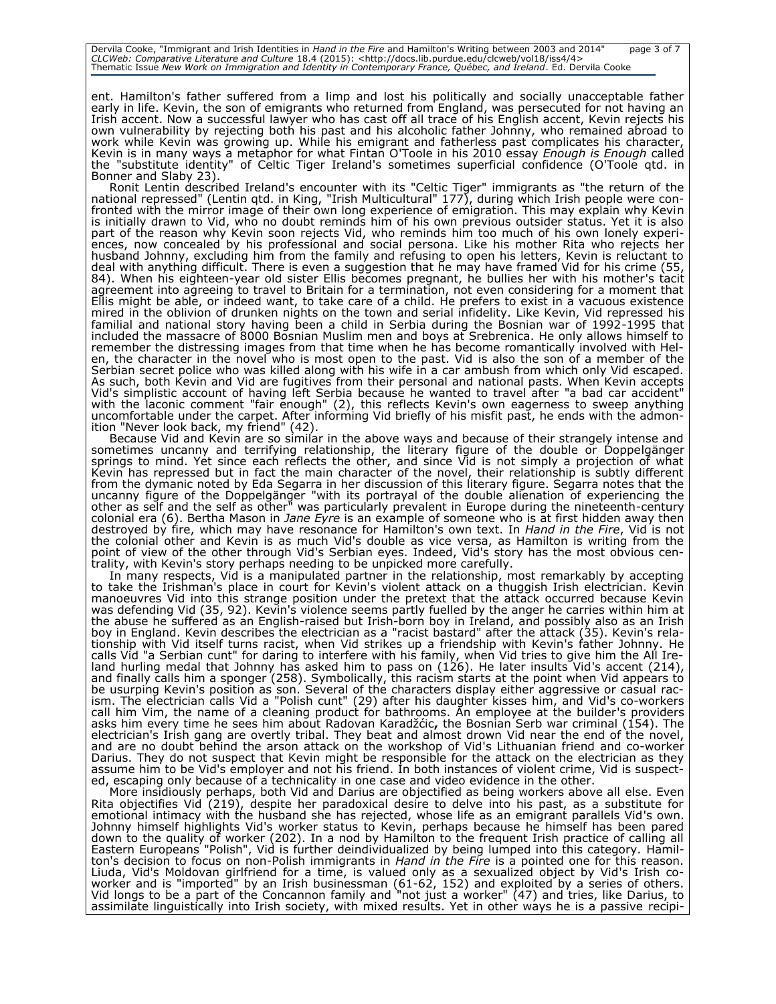Dervila Cooke, "Immigrant and Irish Identities in *Hand in the Fire* and Hamilton's Writing between 2003 and 2014" page 3 of 7<br>CLCWeb: Comparative Literature and Culture 18.4 (2015): <http://docs.lib.purdue.edu/clcweb/vol1

ent. Hamilton's father suffered from a limp and lost his politically and socially unacceptable father early in life. Kevin, the son of emigrants who returned from England, was persecuted for not having an Irish accent. Now a successful lawyer who has cast off all trace of his English accent, Kevin rejects his own vulnerability by rejecting both his past and his alcoholic father Johnny, who remained abroad to work while Kevin was growing up. While his emigrant and fatherless past complicates his character, Kevin is in many ways a metaphor for what Fintan O'Toole in his 2010 essay *Enough is Enough* called the "substitute identity" of Celtic Tiger Ireland's sometimes superficial confidence (O'Toole qtd. in Bonner and Slaby 23).

Ronit Lentin described Ireland's encounter with its "Celtic Tiger" immigrants as "the return of the national repressed" (Lentin qtd. in King, "Irish Multicultural" 177), during which Irish people were confronted with the mirror image of their own long experience of emigration. This may explain why Kevin is initially drawn to Vid, who no doubt reminds him of his own previous outsider status. Yet it is also part of the reason why Kevin soon rejects Vid, who reminds him too much of his own lonely experiences, now concealed by his professional and social persona. Like his mother Rita who rejects her husband Johnny, excluding him from the family and refusing to open his letters, Kevin is reluctant to deal with anything difficult. There is even a suggestion that he may have framed Vid for his crime (55, 84). When his eighteen-year old sister Ellis becomes pregnant, he bullies her with his mother's tacit agreement into agreeing to travel to Britain for a termination, not even considering for a moment that Ellis might be able, or indeed want, to take care of a child. He prefers to exist in a vacuous existence mired in the oblivion of drunken nights on the town and serial infidelity. Like Kevin, Vid repressed his familial and national story having been a child in Serbia during the Bosnian war of 1992-1995 that included the massacre of 8000 Bosnian Muslim men and boys at Srebrenica. He only allows himself to remember the distressing images from that time when he has become romantically involved with Helen, the character in the novel who is most open to the past. Vid is also the son of a member of the Serbian secret police who was killed along with his wife in a car ambush from which only Vid escaped. As such, both Kevin and Vid are fugitives from their personal and national pasts. When Kevin accepts Vid's simplistic account of having left Serbia because he wanted to travel after "a bad car accident" with the laconic comment "fair enough" (2), this reflects Kevin's own eagerness to sweep anything uncomfortable under the carpet. After informing Vid briefly of his misfit past, he ends with the admonition "Never look back, my friend" (42).

Because Vid and Kevin are so similar in the above ways and because of their strangely intense and sometimes uncanny and terrifying relationship, the literary figure of the double or Doppelgänger springs to mind. Yet since each reflects the other, and since Vid is not simply a projection of what Kevin has repressed but in fact the main character of the novel, their relationship is subtly different from the dymanic noted by Eda Segarra in her discussion of this literary figure. Segarra notes that the uncanny figure of the Doppelgänger "with its portrayal of the double alienation of experiencing the other as self and the self as other" was particularly prevalent in Europe during the nineteenth-century colonial era (6). Bertha Mason in *Jane Eyre* is an example of someone who is at first hidden away then destroyed by fire, which may have resonance for Hamilton's own text. In *Hand in the Fire*, Vid is not the colonial other and Kevin is as much Vid's double as vice versa, as Hamilton is writing from the point of view of the other through Vid's Serbian eyes. Indeed, Vid's story has the most obvious centrality, with Kevin's story perhaps needing to be unpicked more carefully.

In many respects, Vid is a manipulated partner in the relationship, most remarkably by accepting to take the Irishman's place in court for Kevin's violent attack on a thuggish Irish electrician. Kevin manoeuvres Vid into this strange position under the pretext that the attack occurred because Kevin was defending Vid (35, 92). Kevin's violence seems partly fuelled by the anger he carries within him at the abuse he suffered as an English-raised but Irish-born boy in Ireland, and possibly also as an Irish boy in England. Kevin describes the electrician as a "racist bastard" after the attack (35). Kevin's relationship with Vid itself turns racist, when Vid strikes up a friendship with Kevin's father Johnny. He calls Vid "a Serbian cunt" for daring to interfere with his family, when Vid tries to give him the All Ireland hurling medal that Johnny has asked him to pass on (126). He later insults Vid's accent (214), and finally calls him a sponger (258). Symbolically, this racism starts at the point when Vid appears to be usurping Kevin's position as son. Several of the characters display either aggressive or casual racism. The electrician calls Vid a "Polish cunt" (29) after his daughter kisses him, and Vid's co-workers call him Vim, the name of a cleaning product for bathrooms. An employee at the builder's providers asks him every time he sees him about Radovan Karadžćic**,** the Bosnian Serb war criminal (154). The electrician's Irish gang are overtly tribal. They beat and almost drown Vid near the end of the novel, and are no doubt behind the arson attack on the workshop of Vid's Lithuanian friend and co-worker Darius. They do not suspect that Kevin might be responsible for the attack on the electrician as they assume him to be Vid's employer and not his friend. In both instances of violent crime, Vid is suspected, escaping only because of a technicality in one case and video evidence in the other.

More insidiously perhaps, both Vid and Darius are objectified as being workers above all else. Even Rita objectifies Vid (219), despite her paradoxical desire to delve into his past, as a substitute for emotional intimacy with the husband she has rejected, whose life as an emigrant parallels Vid's own. Johnny himself highlights Vid's worker status to Kevin, perhaps because he himself has been pared down to the quality of worker (202). In a nod by Hamilton to the frequent Irish practice of calling all Eastern Europeans "Polish", Vid is further deindividualized by being lumped into this category. Hamilton's decision to focus on non-Polish immigrants in *Hand in the Fire* is a pointed one for this reason. Liuda, Vid's Moldovan girlfriend for a time, is valued only as a sexualized object by Vid's Irish coworker and is "imported" by an Irish businessman (61-62, 152) and exploited by a series of others. Vid longs to be a part of the Concannon family and "not just a worker" (47) and tries, like Darius, to assimilate linguistically into Irish society, with mixed results. Yet in other ways he is a passive recipi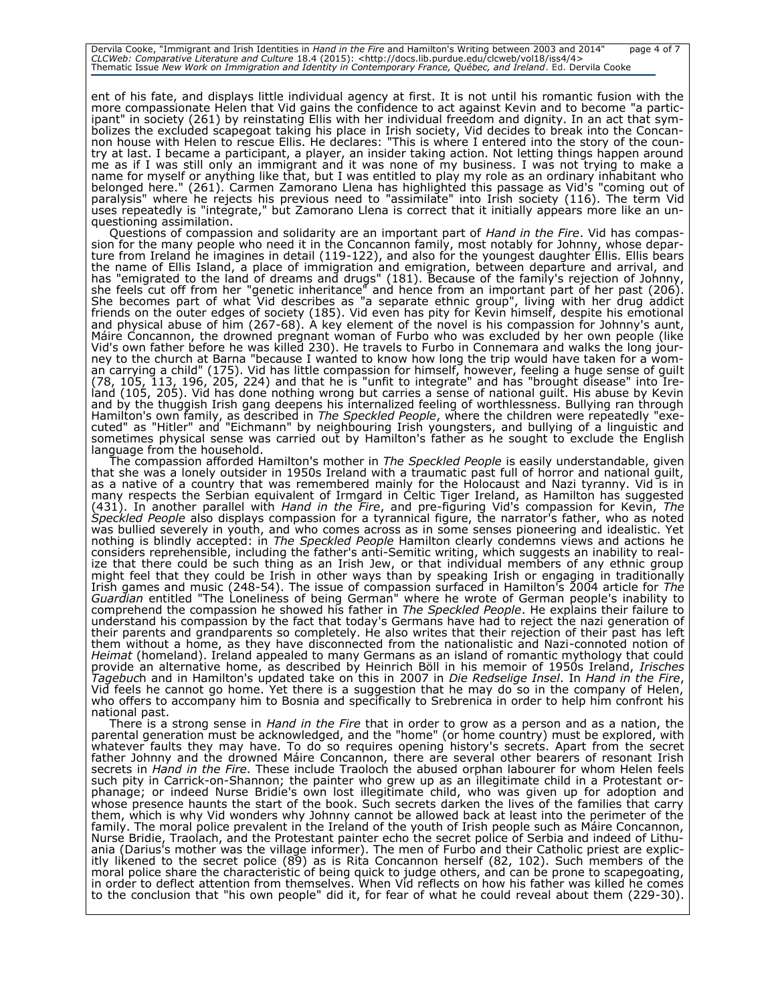Dervila Cooke, "Immigrant and Irish Identities in *Hand in the Fire* and Hamilton's Writing between 2003 and 2014" page 4 of 7<br>CLCWeb: Comparative Literature and Culture 18.4 (2015): <http://docs.lib.purdue.edu/clcweb/vol1

ent of his fate, and displays little individual agency at first. It is not until his romantic fusion with the more compassionate Helen that Vid gains the confidence to act against Kevin and to become "a participant" in society (261) by reinstating Ellis with her individual freedom and dignity. In an act that symbolizes the excluded scapegoat taking his place in Irish society, Vid decides to break into the Concannon house with Helen to rescue Ellis. He declares: "This is where I entered into the story of the country at last. I became a participant, a player, an insider taking action. Not letting things happen around me as if I was still only an immigrant and it was none of my business. I was not trying to make a name for myself or anything like that, but I was entitled to play my role as an ordinary inhabitant who belonged here." (261). Carmen Zamorano Llena has highlighted this passage as Vid's "coming out of paralysis" where he rejects his previous need to "assimilate" into Irish society (116). The term Vid uses repeatedly is "integrate," but Zamorano Llena is correct that it initially appears more like an unquestioning assimilation.

Questions of compassion and solidarity are an important part of *Hand in the Fire*. Vid has compassion for the many people who need it in the Concannon family, most notably for Johnny, whose departure from Ireland he imagines in detail (119-122), and also for the youngest daughter Ellis. Ellis bears the name of Ellis Island, a place of immigration and emigration, between departure and arrival, and has "emigrated to the land of dreams and drugs" (181). Because of the family's rejection of Johnny, she feels cut off from her "genetic inheritance" and hence from an important part of her past (206). She becomes part of what Vid describes as "a separate ethnic group", living with her drug addict friends on the outer edges of society (185). Vid even has pity for Kevin himself, despite his emotional and physical abuse of him (267-68). A key element of the novel is his compassion for Johnny's aunt, Máire Concannon, the drowned pregnant woman of Furbo who was excluded by her own people (like Vid's own father before he was killed 230). He travels to Furbo in Connemara and walks the long journey to the church at Barna "because I wanted to know how long the trip would have taken for a woman carrying a child" (175). Vid has little compassion for himself, however, feeling a huge sense of guilt (78, 105, 113, 196, 205, 224) and that he is "unfit to integrate" and has "brought disease" into Ireland (105, 205). Vid has done nothing wrong but carries a sense of national guilt. His abuse by Kevin and by the thuggish Irish gang deepens his internalized feeling of worthlessness. Bullying ran through Hamilton's own family, as described in *The Speckled People*, where the children were repeatedly "executed" as "Hitler" and "Eichmann" by neighbouring Irish youngsters, and bullying of a linguistic and sometimes physical sense was carried out by Hamilton's father as he sought to exclude the English language from the household.

The compassion afforded Hamilton's mother in *The Speckled People* is easily understandable, given that she was a lonely outsider in 1950s Ireland with a traumatic past full of horror and national guilt, as a native of a country that was remembered mainly for the Holocaust and Nazi tyranny. Vid is in many respects the Serbian equivalent of Irmgard in Celtic Tiger Ireland, as Hamilton has suggested (431). In another parallel with *Hand in the Fire*, and pre-figuring Vid's compassion for Kevin, *The Speckled People* also displays compassion for a tyrannical figure, the narrator's father, who as noted was bullied severely in youth, and who comes across as in some senses pioneering and idealistic. Yet nothing is blindly accepted: in *The Speckled People* Hamilton clearly condemns views and actions he considers reprehensible, including the father's anti-Semitic writing, which suggests an inability to realize that there could be such thing as an Irish Jew, or that individual members of any ethnic group might feel that they could be Irish in other ways than by speaking Irish or engaging in traditionally Irish games and music (248-54). The issue of compassion surfaced in Hamilton's 2004 article for *The Guardian* entitled "The Loneliness of being German" where he wrote of German people's inability to comprehend the compassion he showed his father in *The Speckled People*. He explains their failure to understand his compassion by the fact that today's Germans have had to reject the nazi generation of their parents and grandparents so completely. He also writes that their rejection of their past has left them without a home, as they have disconnected from the nationalistic and Nazi-connoted notion of *Heimat* (homeland). Ireland appealed to many Germans as an island of romantic mythology that could provide an alternative home, as described by Heinrich Böll in his memoir of 1950s Ireland, *Irisches Tagebuc*h and in Hamilton's updated take on this in 2007 in *Die Redselige Insel*. In *Hand in the Fire*, Vid feels he cannot go home. Yet there is a suggestion that he may do so in the company of Helen, who offers to accompany him to Bosnia and specifically to Srebrenica in order to help him confront his national past.

There is a strong sense in *Hand in the Fire* that in order to grow as a person and as a nation, the parental generation must be acknowledged, and the "home" (or home country) must be explored, with whatever faults they may have. To do so requires opening history's secrets. Apart from the secret father Johnny and the drowned Máire Concannon, there are several other bearers of resonant Irish secrets in *Hand in the Fire*. These include Traoloch the abused orphan labourer for whom Helen feels such pity in Carrick-on-Shannon; the painter who grew up as an illegitimate child in a Protestant orphanage; or indeed Nurse Bridie's own lost illegitimate child, who was given up for adoption and whose presence haunts the start of the book. Such secrets darken the lives of the families that carry them, which is why Vid wonders why Johnny cannot be allowed back at least into the perimeter of the family. The moral police prevalent in the Ireland of the youth of Irish people such as Máire Concannon, Nurse Bridie, Traolach, and the Protestant painter echo the secret police of Serbia and indeed of Lithuania (Darius's mother was the village informer). The men of Furbo and their Catholic priest are explicitly likened to the secret police (89) as is Rita Concannon herself (82, 102). Such members of the moral police share the characteristic of being quick to judge others, and can be prone to scapegoating, in order to deflect attention from themselves. When Vid reflects on how his father was killed he comes to the conclusion that "his own people" did it, for fear of what he could reveal about them (229-30).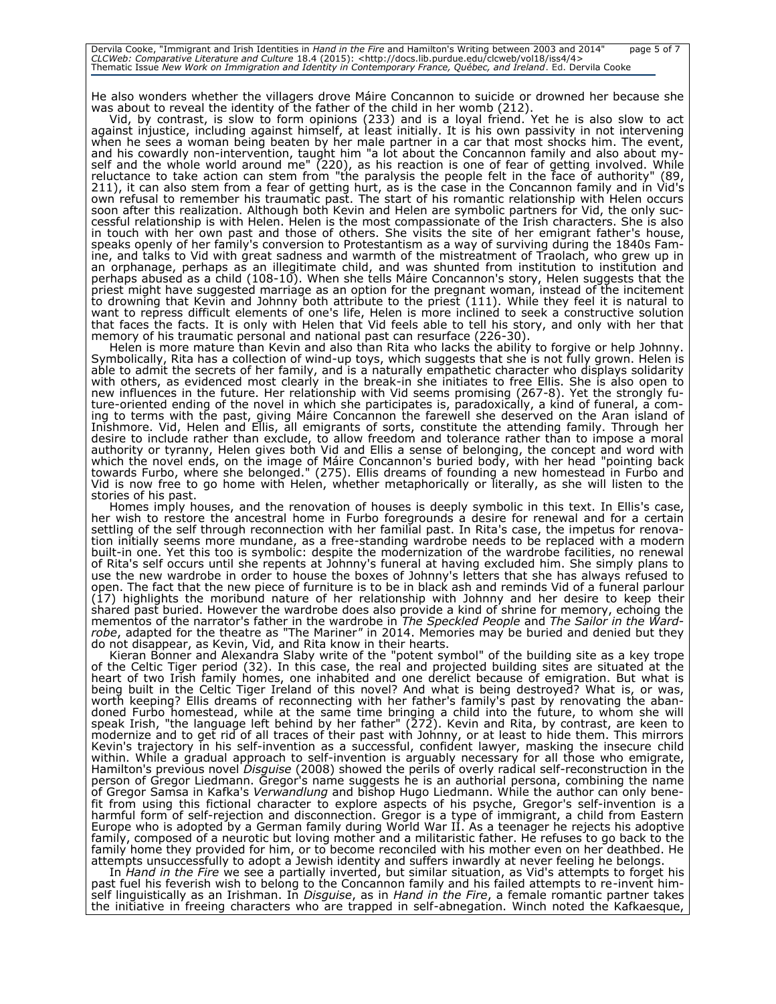Dervila Cooke, "Immigrant and Irish Identities in *Hand in the Fire* and Hamilton's Writing between 2003 and 2014" page 5 of 7<br>CLCWeb: Comparative Literature and Culture 18.4 (2015): <http://docs.lib.purdue.edu/clcweb/vol1

He also wonders whether the villagers drove Máire Concannon to suicide or drowned her because she was about to reveal the identity of the father of the child in her womb (212).

Vid, by contrast, is slow to form opinions (233) and is a loyal friend. Yet he is also slow to act against injustice, including against himself, at least initially. It is his own passivity in not intervening when he sees a woman being beaten by her male partner in a car that most shocks him. The event, and his cowardly non-intervention, taught him "a lot about the Concannon family and also about myself and the whole world around me" (220), as his reaction is one of fear of getting involved. While reluctance to take action can stem from "the paralysis the people felt in the face of authority" (89, 211), it can also stem from a fear of getting hurt, as is the case in the Concannon family and in Vid's own refusal to remember his traumatic past. The start of his romantic relationship with Helen occurs soon after this realization. Although both Kevin and Helen are symbolic partners for Vid, the only successful relationship is with Helen. Helen is the most compassionate of the Irish characters. She is also in touch with her own past and those of others. She visits the site of her emigrant father's house, speaks openly of her family's conversion to Protestantism as a way of surviving during the 1840s Famine, and talks to Vid with great sadness and warmth of the mistreatment of Traolach, who grew up in an orphanage, perhaps as an illegitimate child, and was shunted from institution to institution and perhaps abused as a child (108-10). When she tells Máire Concannon's story, Helen suggests that the priest might have suggested marriage as an option for the pregnant woman, instead of the incitement to drowning that Kevin and Johnny both attribute to the priest (111). While they feel it is natural to want to repress difficult elements of one's life, Helen is more inclined to seek a constructive solution that faces the facts. It is only with Helen that Vid feels able to tell his story, and only with her that memory of his traumatic personal and national past can resurface (226-30).

Helen is more mature than Kevin and also than Rita who lacks the ability to forgive or help Johnny. Symbolically, Rita has a collection of wind-up toys, which suggests that she is not fully grown. Helen is able to admit the secrets of her family, and is a naturally empathetic character who displays solidarity with others, as evidenced most clearly in the break-in she initiates to free Ellis. She is also open to new influences in the future. Her relationship with Vid seems promising (267-8). Yet the strongly future-oriented ending of the novel in which she participates is, paradoxically, a kind of funeral, a coming to terms with the past, giving Máire Concannon the farewell she deserved on the Aran island of Inishmore. Vid, Helen and Ellis, all emigrants of sorts, constitute the attending family. Through her desire to include rather than exclude, to allow freedom and tolerance rather than to impose a moral authority or tyranny, Helen gives both Vid and Ellis a sense of belonging, the concept and word with which the novel ends, on the image of Máire Concannon's buried body, with her head "pointing back towards Furbo, where she belonged." (275). Ellis dreams of founding a new homestead in Furbo and Vid is now free to go home with Helen, whether metaphorically or literally, as she will listen to the stories of his past.

Homes imply houses, and the renovation of houses is deeply symbolic in this text. In Ellis's case, her wish to restore the ancestral home in Furbo foregrounds a desire for renewal and for a certain settling of the self through reconnection with her familial past. In Rita's case, the impetus for renovation initially seems more mundane, as a free-standing wardrobe needs to be replaced with a modern built-in one. Yet this too is symbolic: despite the modernization of the wardrobe facilities, no renewal of Rita's self occurs until she repents at Johnny's funeral at having excluded him. She simply plans to use the new wardrobe in order to house the boxes of Johnny's letters that she has always refused to open. The fact that the new piece of furniture is to be in black ash and reminds Vid of a funeral parlour (17) highlights the moribund nature of her relationship with Johnny and her desire to keep their shared past buried. However the wardrobe does also provide a kind of shrine for memory, echoing the mementos of the narrator's father in the wardrobe in *The Speckled People* and *The Sailor in the Wardrobe*, adapted for the theatre as "The Mariner*"* in 2014. Memories may be buried and denied but they do not disappear, as Kevin, Vid, and Rita know in their hearts.

Kieran Bonner and Alexandra Slaby write of the "potent symbol" of the building site as a key trope of the Celtic Tiger period (32). In this case, the real and projected building sites are situated at the heart of two Irish family homes, one inhabited and one derelict because of emigration. But what is being built in the Celtic Tiger Ireland of this novel? And what is being destroyed? What is, or was, worth keeping? Ellis dreams of reconnecting with her father's family's past by renovating the abandoned Furbo homestead, while at the same time bringing a child into the future, to whom she will speak Irish, "the language left behind by her father" (272). Kevin and Rita, by contrast, are keen to modernize and to get rid of all traces of their past with Johnny, or at least to hide them. This mirrors Kevin's trajectory in his self-invention as a successful, confident lawyer, masking the insecure child within. While a gradual approach to self-invention is arguably necessary for all those who emigrate, Hamilton's previous novel *Disguise* (2008) showed the perils of overly radical self-reconstruction in the person of Gregor Liedmann. Gregor's name suggests he is an authorial persona, combining the name of Gregor Samsa in Kafka's *Verwandlung* and bishop Hugo Liedmann. While the author can only benefit from using this fictional character to explore aspects of his psyche, Gregor's self-invention is a harmful form of self-rejection and disconnection. Gregor is a type of immigrant, a child from Eastern Europe who is adopted by a German family during World War II. As a teenager he rejects his adoptive family, composed of a neurotic but loving mother and a militaristic father. He refuses to go back to the family home they provided for him, or to become reconciled with his mother even on her deathbed. He attempts unsuccessfully to adopt a Jewish identity and suffers inwardly at never feeling he belongs.

In *Hand in the Fire* we see a partially inverted, but similar situation, as Vid's attempts to forget his past fuel his feverish wish to belong to the Concannon family and his failed attempts to re-invent himself linguistically as an Irishman. In *Disguise*, as in *Hand in the Fire*, a female romantic partner takes the initiative in freeing characters who are trapped in self-abnegation. Winch noted the Kafkaesque,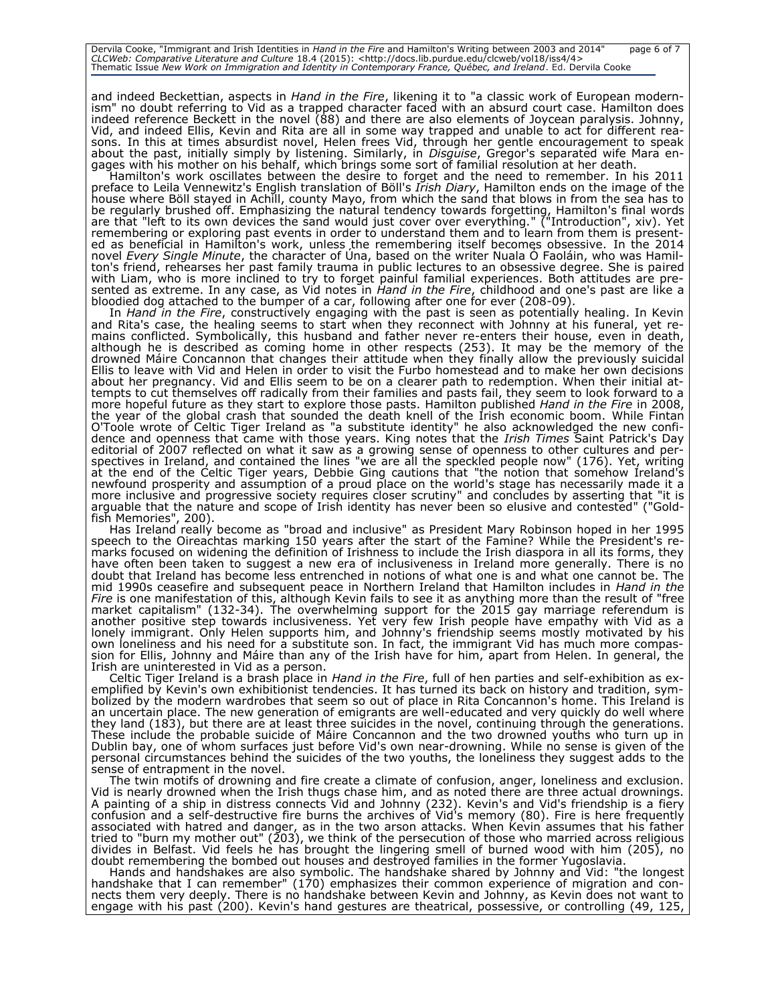Dervila Cooke, "Immigrant and Irish Identities in *Hand in the Fire* and Hamilton's Writing between 2003 and 2014" page 6 of 7<br>CLCWeb: Comparative Literature and Culture 18.4 (2015): <http://docs.lib.purdue.edu/clcweb/vol1

and indeed Beckettian, aspects in *Hand in the Fire*, likening it to "a classic work of European modernism" no doubt referring to Vid as a trapped character faced with an absurd court case. Hamilton does indeed reference Beckett in the novel (88) and there are also elements of Joycean paralysis. Johnny, Vid, and indeed Ellis, Kevin and Rita are all in some way trapped and unable to act for different reasons. In this at times absurdist novel, Helen frees Vid, through her gentle encouragement to speak about the past, initially simply by listening. Similarly, in *Disguise*, Gregor's separated wife Mara engages with his mother on his behalf, which brings some sort of familial resolution at her death.

Hamilton's work oscillates between the desire to forget and the need to remember. In his 2011 preface to Leila Vennewitz's English translation of Böll's *Irish Diary*, Hamilton ends on the image of the house where Böll stayed in Achill, county Mayo, from which the sand that blows in from the sea has to be regularly brushed off. Emphasizing the natural tendency towards forgetting, Hamilton's final words are that "left to its own devices the sand would just cover over everything." ("Introduction", xiv). Yet remembering or exploring past events in order to understand them and to learn from them is presented as beneficial in Hamilton's work, unless the remembering itself becomes obsessive. In the 2014 novel *Every Single Minute*, the character of Úna, based on the writer Nuala Ó Faoláin, who was Hamilton's friend, rehearses her past family trauma in public lectures to an obsessive degree. She is paired with Liam, who is more inclined to try to forget painful familial experiences. Both attitudes are presented as extreme. In any case, as Vid notes in *Hand in the Fire*, childhood and one's past are like a bloodied dog attached to the bumper of a car, following after one for ever (208-09).

In *Hand in the Fire*, constructively engaging with the past is seen as potentially healing. In Kevin and Rita's case, the healing seems to start when they reconnect with Johnny at his funeral, yet remains conflicted. Symbolically, this husband and father never re-enters their house, even in death, although he is described as coming home in other respects (253). It may be the memory of the drowned Máire Concannon that changes their attitude when they finally allow the previously suicidal Ellis to leave with Vid and Helen in order to visit the Furbo homestead and to make her own decisions about her pregnancy. Vid and Ellis seem to be on a clearer path to redemption. When their initial attempts to cut themselves off radically from their families and pasts fail, they seem to look forward to a more hopeful future as they start to explore those pasts. Hamilton published *Hand in the Fire* in 2008, the year of the global crash that sounded the death knell of the Irish economic boom. While Fintan O'Toole wrote of Celtic Tiger Ireland as "a substitute identity" he also acknowledged the new confidence and openness that came with those years. King notes that the *Irish Times* Saint Patrick's Day editorial of 2007 reflected on what it saw as a growing sense of openness to other cultures and perspectives in Ireland, and contained the lines "we are all the speckled people now" (176). Yet, writing at the end of the Celtic Tiger years, Debbie Ging cautions that "the notion that somehow Ireland's newfound prosperity and assumption of a proud place on the world's stage has necessarily made it a more inclusive and progressive society requires closer scrutiny" and concludes by asserting that "it is arguable that the nature and scope of Irish identity has never been so elusive and contested" ("Goldfish Memories", 200).

Has Ireland really become as "broad and inclusive" as President Mary Robinson hoped in her 1995 speech to the Oireachtas marking 150 years after the start of the Famine? While the President's remarks focused on widening the definition of Irishness to include the Irish diaspora in all its forms, they have often been taken to suggest a new era of inclusiveness in Ireland more generally. There is no doubt that Ireland has become less entrenched in notions of what one is and what one cannot be. The mid 1990s ceasefire and subsequent peace in Northern Ireland that Hamilton includes in *Hand in the Fire* is one manifestation of this, although Kevin fails to see it as anything more than the result of "free market capitalism" (132-34). The overwhelming support for the 2015 gay marriage referendum is another positive step towards inclusiveness. Yet very few Irish people have empathy with Vid as a lonely immigrant. Only Helen supports him, and Johnny's friendship seems mostly motivated by his own loneliness and his need for a substitute son. In fact, the immigrant Vid has much more compassion for Ellis, Johnny and Máire than any of the Irish have for him, apart from Helen. In general, the Irish are uninterested in Vid as a person.

Celtic Tiger Ireland is a brash place in *Hand in the Fire*, full of hen parties and self-exhibition as exemplified by Kevin's own exhibitionist tendencies. It has turned its back on history and tradition, symbolized by the modern wardrobes that seem so out of place in Rita Concannon's home. This Ireland is an uncertain place. The new generation of emigrants are well-educated and very quickly do well where they land (183), but there are at least three suicides in the novel, continuing through the generations. These include the probable suicide of Máire Concannon and the two drowned youths who turn up in Dublin bay, one of whom surfaces just before Vid's own near-drowning. While no sense is given of the personal circumstances behind the suicides of the two youths, the loneliness they suggest adds to the sense of entrapment in the novel.

The twin motifs of drowning and fire create a climate of confusion, anger, loneliness and exclusion. Vid is nearly drowned when the Irish thugs chase him, and as noted there are three actual drownings. A painting of a ship in distress connects Vid and Johnny (232). Kevin's and Vid's friendship is a fiery confusion and a self-destructive fire burns the archives of Vid's memory (80). Fire is here frequently associated with hatred and danger, as in the two arson attacks. When Kevin assumes that his father tried to "burn my mother out" (203), we think of the persecution of those who married across religious divides in Belfast. Vid feels he has brought the lingering smell of burned wood with him (205), no doubt remembering the bombed out houses and destroyed families in the former Yugoslavia.

Hands and handshakes are also symbolic. The handshake shared by Johnny and Vid: "the longest handshake that I can remember" (170) emphasizes their common experience of migration and connects them very deeply. There is no handshake between Kevin and Johnny, as Kevin does not want to engage with his past (200). Kevin's hand gestures are theatrical, possessive, or controlling (49, 125,